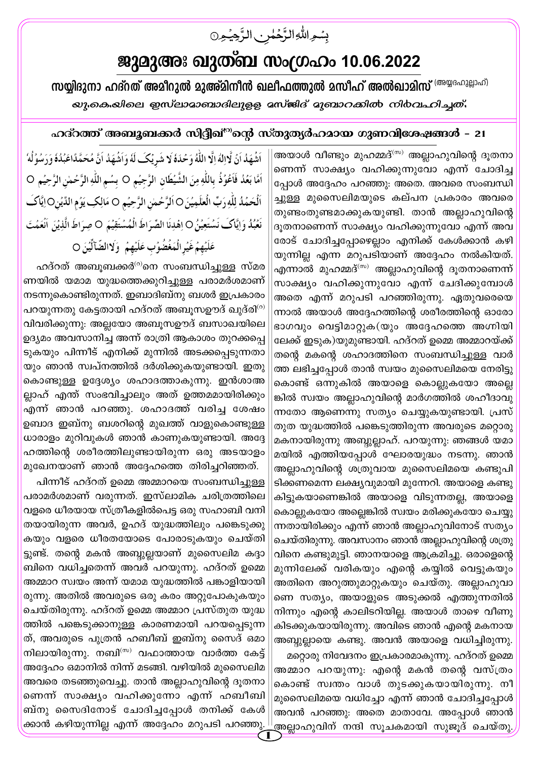## ജുമുഅഃ ഖുത്ബ സംഗ്രഹം 10.06.2022

بسوالله الرَّحُمٰنِ الرَّحِيُونَ

സയ്യിദുനാ ഹദ്**റത് അമീറുൽ മുഅ്മിനീൻ ഖലീഫത്തുൽ മസീഹ് അൽഖാ**മിസ് <sup>(അയ്യദഹുല്ലാഹ്)</sup> *യു.കെ.യിലെ ഇസ്ലാമാബാദിലുളള മസ്*ജിദ് മുബാ*റക്കിൽ നി*ർവഹിച്ചത്.

## ഹദ്റത്ത് അബൂബക്കർ സിദ്ദീഖ്<sup>റു</sup>ന്റെ സ്തുത്യർഹമായ ഗുണവിശേഷങ്ങൾ - 21

അയാൾ വീണ്ടും മുഹമ്മദ് $^{\text{\tiny{\text{(m)}}}}$  അല്ലാഹുവിന്റെ ദുതനാ ണെന്ന് സാക്ഷ്യം വഹിക്കുന്നുവോ എന്ന് ചോദിച്ച പ്പോൾ അദ്ദേഹം പറഞ്ഞു: അതെ. അവരെ സംബന്ധി ച്ചുള്ള മുസൈലിമയുടെ കല്പന പ്രകാരം അവരെ തുണ്ടംതുണ്ടമാക്കുകയുണ്ടി. താൻ അല്ലാഹുവിന്റെ ദൂതനാണെന്ന് സാക്ഷ്യം വഹിക്കുന്നുവോ എന്ന് അവ രോട് ചോദിച്ചപ്പോഴെല്ലാം എനിക്ക് കേൾക്കാൻ കഴി യുന്നില്ല എന്ന മറുപടിയാണ് അദ്ദേഹം നൽകിയത്. എന്നാൽ മുഹമ്മദ്<sup>(സ)</sup> അല്ലാഹുവിന്റെ ദൂതനാണെന്ന് സാക്ഷ്യം വഹിക്കുന്നുവോ എന്ന് ചേദിക്കുമ്പോൾ അതെ എന്ന് മറുപടി പറഞ്ഞിരുന്നു. ഏതുവരെയെ ന്നാൽ അയാൾ അദ്ദേഹത്തിന്റെ ശരീരത്തിന്റെ ഓരോ ഭാഗവും വെട്ടിമാറ്റുക(യും അദ്ദേഹത്തെ അഗ്നിയി ലേക്ക് ഇടുക)യുമുണ്ടായി. ഹദ്റത് ഉമ്മെ അമ്മാറയ്ക്ക് തന്റെ മകന്റെ ശഹാദത്തിനെ സംബന്ധിച്ചുള്ള വാർ ത്ത ലഭിച്ചപ്പോൾ താൻ സ്വയം മുസൈലിമയെ നേരിട്ടു കൊണ്ട് ഒന്നുകിൽ അയാളെ കൊല്ലുകയോ അല്ലെ ങ്കിൽ സ്വയം അല്ലാഹുവിന്റെ മാർഗത്തിൽ ശഹീദാവു ന്നതോ ആണെന്നു സത്യം ചെയ്യുകയുണ്ടായി. പ്രസ് തുത യുദ്ധത്തിൽ പങ്കെടുത്തിരുന്ന അവരുടെ മറ്റൊരു മകനായിരുന്നു അബ്ബുല്ലാഹ്. പറയുന്നു: ഞങ്ങൾ യമാ മയിൽ എത്തിയപ്പോൾ ഘോരയുദ്ധം നടന്നു. ഞാൻ അല്ലാഹുവിന്റെ ശത്രുവായ മുസൈലിമയെ കണ്ടുപി ടിക്കണമെന്ന ലക്ഷ്യവുമായി മുന്നേറി. അയാളെ കണ്ടു കിട്ടുകയാണെങ്കിൽ അയാളെ വിടുന്നതല്ല, അയാളെ കൊല്ലുകയോ അല്ലെങ്കിൽ സ്വയം മരിക്കുകയോ ചെയ്യു ന്നതായിരിക്കും എന്ന് ഞാൻ അല്ലാഹുവിനോട് സത്യം ചെയ്തിരുന്നു. അവസാനം ഞാൻ അല്ലാഹുവിന്റെ ശത്രു വിനെ കണ്ടുമുട്ടി. ഞാനയാളെ ആക്രമിച്ചു. ഒരാളെന്റെ മുന്നിലേക്ക് വരികയും എന്റെ കയ്യിൽ വെട്ടുകയും അതിനെ അറുത്തുമാറ്റുകയും ചെയ്തു. അല്ലാഹുവാ ണെ സത്യം, അയാളുടെ അടുക്കൽ എത്തുന്നതിൽ നിന്നും എന്റെ കാലിടറിയില്ല. അയാൾ താഴെ വീണു കിടക്കുകയായിരുന്നു. അവിടെ ഞാൻ എന്റെ മകനായ അബ്ബുല്ലായെ കണ്ടു. അവൻ അയാളെ വധിച്ചിരുന്നു. മറ്റൊരു നിവേദനം ഇപ്രകാരമാകുന്നു. ഹദ്റത് ഉമ്മെ അമ്മാറ പറയുന്നു: എന്റെ മകൻ തന്റെ വസ്ത്രം കൊണ്ട് സ്വന്തം വാൾ തുടക്കുകയായിരുന്നു. നീ മുസൈലിമയെ വധിച്ചോ എന്ന് ഞാൻ ചോദിച്ചപ്പോൾ അവൻ പറഞ്ഞു: അതെ മാതാവേ. അപ്പോൾ ഞാൻ .<br>അല്ലാഹുവിന് നന്ദി സൂചകമായി സുജൂദ് ചെയ്തു

اَشْهَدُ اَنۡ لَّاالِهَ اِلَّا اللَّهُ وَحُدَهٗ لَا شَرِيُكَ لَهُ وَاَشْهَدُ اَنَّ مُحَمَّدًاعَبُدُهُ وَرَسُوُلُهُ اَمَّا بَعُدُ فَاَعُوُذُ بِاللَّهِ مِنَ الشَّيْطَانِ الرَّجِيُمِ ○ بِسُمِ اللَّهِ الرَّحُمْنِ الرَّحِيُمِ ○ اَلۡحَمۡدُ لِلّٰهِ رَبِّ الۡعَلَمِيۡنَ O اَلرَّحۡمٰنِ الرَّحِيۡمِ O مَالِكِ يَوۡمِ الدِّيۡنِO اِيَّاكَ نَعُبُدُ وَإِيَّاكَ نَسْتَعِيْنُ O اِهْدِنَا الصِّرَاطَ الْمُسْتَقِيْمَ O صِرَاطَ الَّذِيْنَ اَنْعَمُتَ عَلَيُهِمُ غَيُرالُمَغُضُوُب عَلَيْهِمُ ۚ وَلَاالضّآلِّينَ ○

ഹദ്റത് അബൂബക്കർ<sup>ര</sup>ാന സംബന്ധിച്ചുള്ള സ്മര ണയിൽ യമാമ യുദ്ധത്തെക്കുറിച്ചുള്ള പരാമർശമാണ് നടന്നുകൊണ്ടിരുന്നത്. ഇബാദിബ്നു ബശർ ഇപ്രകാരം പറയുന്നതു കേട്ടതായി ഹദ്റത് അബൂസഊദ് ഖുദ്രി<sup>(റ)</sup> വിവരിക്കുന്നു: അല്ലയോ അബൂസഊദ് ബസാഖയിലെ ഉദ്യമം അവസാനിച്ച അന്ന് രാത്രി ആകാശം തുറക്കപ്പെ ടുകയും പിന്നീട് എനിക്ക് മുന്നിൽ അടക്കപ്പെടുന്നതാ യും ഞാൻ സ്വപ്നത്തിൽ ദർശിക്കുകയുണ്ടായി. ഇതു കൊണ്ടുള്ള ഉദ്ദേശ്യം ശഹാദത്താകുന്നു. ഇൻശാഅ ല്ലാഹ് എന്ത് സംഭവിച്ചാലും അത് ഉത്തമമായിരിക്കും എന്ന് ഞാൻ പറഞ്ഞു. ശഹാദത്ത് വരിച്ച ശേഷം ഉബാദ ഇബ്നു ബശറിന്റെ മുഖത്ത് വാളുകൊണ്ടുള്ള ധാരാളം മുറിവുകൾ ഞാൻ കാണുകയുണ്ടായി. അദ്ദേ ഹത്തിന്റെ ശരീരത്തിലുണ്ടായിരുന്ന ഒരു അടയാളം മുഖേനയാണ് ഞാൻ അദ്ദേഹത്തെ തിരിച്ചറിഞ്ഞത്.

പിന്നീട് ഹദ്റത് ഉമ്മെ അമ്മാറയെ സംബന്ധിച്ചുള്ള പരാമർശമാണ് വരുന്നത്. ഇസ്ലാമിക ചരിത്രത്തിലെ വളരെ ധീരയായ സ്ത്രീകളിൽപെട്ട ഒരു സഹാബി വനി തയായിരുന്ന അവർ, ഉഹദ് യുദ്ധത്തിലും പങ്കെടുക്കു കയും വളരെ ധീരതയോടെ പോരാടുകയും ചെയ്തി ട്ടുണ്ട്. തന്റെ മകൻ അബ്ബുല്ലയാണ് മുസൈലിമ കദ്ദാ ബിനെ വധിച്ചതെന്ന് അവർ പറയുന്നു. ഹദ്റത് ഉമ്മെ അമ്മാറ സ്വയം അന്ന് യമാമ യുദ്ധത്തിൽ പങ്കാളിയായി രുന്നു. അതിൽ അവരുടെ ഒരു കരം അറ്റുപോകുകയും ചെയ്തിരുന്നു. ഹദ്റത് ഉമ്മെ അമ്മാറ പ്രസ്തുത യുദ്ധ ത്തിൽ പങ്കെടുക്കാനുള്ള കാരണമായി പറയപ്പെടുന്ന ത്, അവരുടെ പുത്രൻ ഹബീബ് ഇബ്നു സൈദ് ഒമാ നിലായിരുന്നു. നബി<sup>(സ)</sup> വഫാത്തായ വാർത്ത കേട്ട് അദ്ദേഹം ഒമാനിൽ നിന്ന് മടങ്ങി. വഴിയിൽ മുസൈലിമ അവരെ തടഞ്ഞുവെച്ചു. താൻ അല്ലാഹുവിന്റെ ദൂതനാ ണെന്ന് സാക്ഷ്യം വഹിക്കുന്നോ എന്ന് ഹബീബി ബ്നു സൈദിനോട് ചോദിച്ചപ്പോൾ തനിക്ക് കേൾ ,<br>ക്കാൻ കഴിയുന്നില്ല എന്ന് അദ്ദേഹം മറുപടി പറഞ്ഞു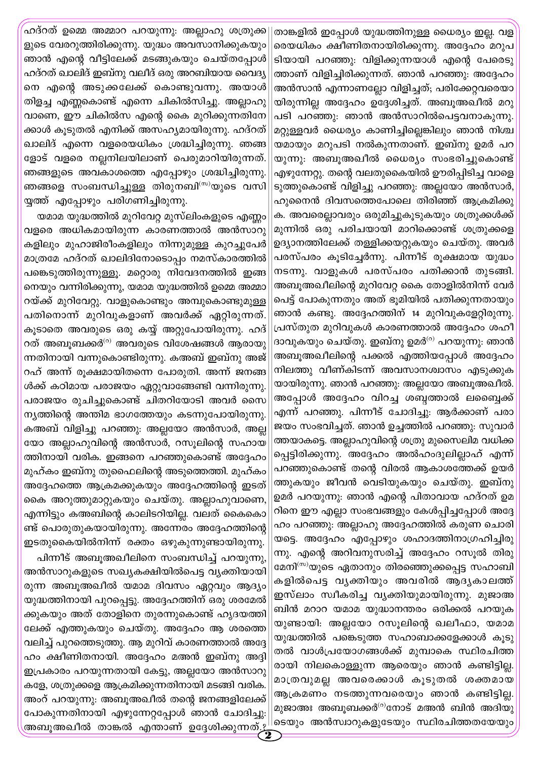താങ്കളിൽ ഇപ്പോൾ യുദ്ധത്തിനുള്ള ധൈര്യം ഇല്ല. വള രെയധികം ക്ഷീണിതനായിരിക്കുന്നു. അദ്ദേഹം മറുപ ടിയായി പറഞ്ഞു: വിളിക്കുന്നയാൾ എന്റെ പേരെടു ത്താണ് വിളിച്ചിരിക്കുന്നത്. ഞാൻ പറഞ്ഞു: അദ്ദേഹം അൻസാൻ എന്നാണല്ലോ വിളിച്ചത്; പരിക്കേറ്റവരെയാ യിരുന്നില്ല അദ്ദേഹം ഉദ്ദേശിച്ചത്. അബൂഅഖീൽ മറു പടി പറഞ്ഞു: ഞാൻ അൻസാറിൽപെട്ടവനാകുന്നു. മറ്റുള്ളവർ ധൈര്യം കാണിച്ചില്ലെങ്കിലും ഞാൻ നിശ്ച യമായും മറുപടി നൽകുന്നതാണ്. ഇബ്നു ഉമർ പറ യുന്നു. അബൂഅഖീൽ ധൈര്യം സംഭരിച്ചുകൊണ്ട് എഴുന്നേറ്റു. തന്റെ വലതുകൈയിൽ ഊരിപ്പിടിച്ച വാളെ ടുത്തുകൊണ്ട് വിളിച്ചു പറഞ്ഞു: അല്ലയോ അൻസാർ, ഹുനൈൻ ദിവസത്തെപോലെ തിരിഞ്ഞ് ആക്രമിക്കു ക. അവരെല്ലാവരും ഒരുമിച്ചുകൂടുകയും ശത്രുക്കൾക്ക് മുന്നിൽ ഒരു പരിചയായി മാറിക്കൊണ്ട് ശത്രുക്കളെ ഉദ്യാനത്തിലേക്ക് തള്ളിക്കയറ്റുകയും ചെയ്തു. അവർ പരസ്പരം കൂടിച്ചേർന്നു. പിന്നീട് രൂക്ഷമായ യുദ്ധം നടന്നു. വാളുകൾ പരസ്പരം പതിക്കാൻ തുടങ്ങി. അബൂഅഖീലിന്റെ മുറിവേറ്റ കൈ തോളിൽനിന്ന് വേർ പെട്ട് പോകുന്നതും അത് ഭൂമിയിൽ പതിക്കുന്നതായും ഞാൻ കണ്ടു. അദ്ദേഹത്തിന് 14 മുറിവുകളേറ്റിരുന്നു. പ്രസ്തുത മുറിവുകൾ കാരണത്താൽ അദ്ദേഹം ശഹീ ദാവുകയും ചെയ്തു. ഇബ്നു ഉമർ<sup>(റ)</sup> പറയുന്നു: ഞാൻ അബൂഅഖീലിന്റെ പക്കൽ എത്തിയപ്പോൾ അദ്ദേഹം നിലത്തു വീണ്കിടന്ന് അവസാനശ്വാസം എടുക്കുക യായിരുന്നു. ഞാൻ പറഞ്ഞു: അല്ലയോ അബൂഅഖീൽ. അപ്പോൾ അദ്ദേഹം വിറച്ച ശബ്ദത്താൽ ലബ്ബൈക്ക് എന്ന് പറഞ്ഞു. പിന്നീട് ചോദിച്ചു: ആർക്കാണ് പരാ ജയം സംഭവിച്ചത്. ഞാൻ ഉച്ചത്തിൽ പറഞ്ഞു: സുവാർ ത്തയാകട്ടെ. അല്ലാഹുവിന്റെ ശത്രു മുസൈലിമ വധിക്ക പ്പെട്ടിരിക്കുന്നു. അദ്ദേഹം അൽഹംദുലില്ലാഹ് എന്ന് പറഞ്ഞുകൊണ്ട് തന്റെ വിരൽ ആകാശത്തേക്ക് ഉയർ ത്തുകയും ജീവൻ വെടിയുകയും ചെയ്തു. ഇബ്നു ഉമർ പറയുന്നു: ഞാൻ എന്റെ പിതാവായ ഹദ്റത് ഉമ റിനെ ഈ എല്ലാ സംഭവങ്ങളും കേൾപ്പിച്ചപ്പോൾ അദ്ദേ ഹം പറഞ്ഞു: അല്ലാഹു അദ്ദേഹത്തിൽ കരുണ ചൊരി യട്ടെ. അദ്ദേഹം എപ്പോഴും ശഹാദത്തിനാഗ്രഹിച്ചിരു ന്നു. എന്റെ അറിവനുസരിച്ച് അദ്ദേഹം റസൂൽ തിരു മേനി<sup>(സ)</sup>യുടെ ഏതാനും തിരഞ്ഞുക്കപ്പെട്ട സഹാബി കളിൽപെട്ട വൃക്തിയും അവരിൽ ആദൃകാലത്ത് ഇസ്ലാം സ്വീകരിച്ച വൃക്തിയുമായിരുന്നു. മുജാഅ ബിൻ മറാറ യമാമ യുദ്ധാനന്തരം ഒരിക്കൽ പറയുക യുണ്ടായി: അല്ലയോ റസൂലിന്റെ ഖലീഫാ, യമാമ യുദ്ധത്തിൽ പങ്കെടുത്ത സഹാബാക്കളേക്കാൾ കൂടു തൽ വാൾപ്രയോഗങ്ങൾക്ക് മുമ്പാകെ സ്ഥിരചിത്ത രായി നിലകൊള്ളുന്ന ആരെയും ഞാൻ കണ്ടിട്ടില്ല. മാത്രവുമല്ല അവരെക്കാൾ കൂടുതൽ ശക്തമായ ആക്രമണം നടത്തുന്നവരെയും ഞാൻ കണ്ടിട്ടില്ല. മുജാഅഃ അബൂബക്കർ<sup>(റ)</sup>നോട് മഅൻ ബിൻ അദിയു 'ടെയും അൻസ്വാറുകളുടേയും സ്ഥിരചിത്തതയേയ<mark>ു</mark>ം

ഹദ്റത് ഉമ്മെ അമ്മാറ പറയുന്നു: അല്ലാഹു ശത്രുക്ക ളുടെ വേരറുത്തിരിക്കുന്നു. യുദ്ധം അവസാനിക്കുകയും ഞാൻ എന്റെ വീട്ടിലേക്ക് മടങ്ങുകയും ചെയ്തപ്പോൾ ഹദ്റത് ഖാലിദ് ഇബ്നു വലീദ് ഒരു അറബിയായ വൈദ്യ നെ എന്റെ അടുക്കലേക്ക് കൊണ്ടുവന്നു. അയാൾ തിളച്ച എണ്ണകൊണ്ട് എന്നെ ചികിൽസിച്ചു. അല്ലാഹു വാണെ, ഈ ചികിൽസ എന്റെ കൈ മുറിക്കുന്നതിനേ ക്കാൾ കൂടുതൽ എനിക്ക് അസഹ്യമായിരുന്നു. ഹദ്റത് ഖാലിദ് എന്നെ വളരെയധികം ശ്രദ്ധിച്ചിരുന്നു. ഞങ്ങ ളോട് വളരെ നല്ലനിലയിലാണ് പെരുമാറിയിരുന്നത്. ഞങ്ങളുടെ അവകാശത്തെ എപ്പോഴും ശ്രദ്ധിച്ചിരുന്നു. ഞങ്ങളെ സംബന്ധിച്ചുള്ള തിരുനബി $^{\text{\tiny{(m)}}}$ യുടെ വസി യ്യത്ത് എപ്പോഴും പരിഗണിച്ചിരുന്നു.

യമാമ യുദ്ധത്തിൽ മുറിവേറ്റ മുസ്ലിംകളുടെ എണ്ണം വളരെ അധികമായിരുന്ന കാരണത്താൽ അൻസാറു കളിലും മുഹാജിരീംകളിലും നിന്നുമുള്ള കുറച്ചുപേർ മാത്രമേ ഹദ്റത് ഖാലിദിനോടൊപ്പം നമസ്കാരത്തിൽ പങ്കെടുത്തിരുന്നുള്ളൂ. മറ്റൊരു നിവേദനത്തിൽ ഇങ്ങ നെയും വന്നിരിക്കുന്നു, യമാമ യുദ്ധത്തിൽ ഉമ്മെ അമ്മാ റയ്ക്ക് മുറിവേറ്റു. വാളുകൊണ്ടും അമ്പുകൊണ്ടുമുള്ള പതിനൊന്ന് മുറിവുകളാണ് അവർക്ക് ഏറ്റിരുന്നത്. കൂടാതെ അവരുടെ ഒരു കയ്യ് അറ്റുപോയിരുന്നു. ഹദ് റത് അബൂബക്കർ<sup>ര)</sup> അവരുടെ വിശേഷങ്ങൾ ആരായു ന്നതിനായി വന്നുകൊണ്ടിരുന്നു. കഅബ് ഇബ്നു അജ് റഹ് അന്ന് രൂക്ഷമായിതന്നെ പോരുതി. അന്ന് ജനങ്ങ ൾക്ക് കഠിമായ പരാജയം ഏറ്റുവാങ്ങേണ്ടി വന്നിരുന്നു. പരാജയം രുചിച്ചുകൊണ്ട് ചിതറിയോടി അവർ സൈ ന്യത്തിന്റെ അന്തിമ ഭാഗത്തേയും കടന്നുപോയിരുന്നു. കഅബ് വിളിച്ചു പറഞ്ഞു: അല്ലയോ അൻസാർ, അല്ല യോ അല്ലാഹുവിന്റെ അൻസാർ, റസൂലിന്റെ സഹായ ത്തിനായി വരിക. ഇങ്ങനെ പറഞ്ഞുകൊണ്ട് അദ്ദേഹം മുഹ്കം ഇബ്നു തുഫൈലിന്റെ അടുത്തെത്തി. മുഹ്കം അദ്ദേഹത്തെ ആക്രമക്കുകയും അദ്ദേഹത്തിന്റെ ഇടത് കൈ അറുത്തുമാറ്റുകയും ചെയ്തു. അല്ലാഹുവാണെ, എന്നിട്ടും കഅബിന്റെ കാലിടറിയില്ല. വലത് കൈകൊ ണ്ട് പൊരുതുകയായിരുന്നു. അന്നേരം അദ്ദേഹത്തിന്റെ ഇടതുകൈയിൽനിന്ന് രക്തം ഒഴുകുന്നുണ്ടായിരുന്നു. പിന്നീട് അബുഅഖീലിനെ സംബന്ധിച്ച് പറയുന്നു,

അൻസാറുകളുടെ സഖ്യകക്ഷിയിൽപെട്ട വ്യക്തിയായി രുന്ന അബൂഅഖീൽ യമാമ ദിവസം ഏറ്റവും ആദ്യം യുദ്ധത്തിനായി പുറപ്പെട്ടു. അദ്ദേഹത്തിന് ഒരു ശരമേൽ ക്കുകയും അത് തോളിനെ തുരന്നുകൊണ്ട് ഹൃദയത്തി ലേക്ക് എത്തുകയും ചെയ്തു. അദ്ദേഹം ആ ശരത്തെ വലിച്ച് പുറത്തെടുത്തു. ആ മുറിവ് കാരണത്താൽ അദ്ദേ ഹം ക്ഷീണിതനായി. അദ്ദേഹം മഅൻ ഇബ്നു അദ്ദി ഇപ്രകാരം പറയുന്നതായി കേട്ടു, അല്ലയോ അൻസാറു കളേ, ശത്രുക്കളെ ആക്രമിക്കുന്നതിനായി മടങ്ങി വരിക. അംറ് പറയുന്നു: അബൂഅഖീൽ തന്റെ ജനങ്ങളിലേക്ക് പോകുന്നതിനായി എഴുന്നേറ്റപ്പോൾ ഞാൻ ചോദിച്ചു: അബൂഅഖീൽ താങ്കൽ എന്താണ് ഉദ്ദേശിക്കുന്നത്.ഉ